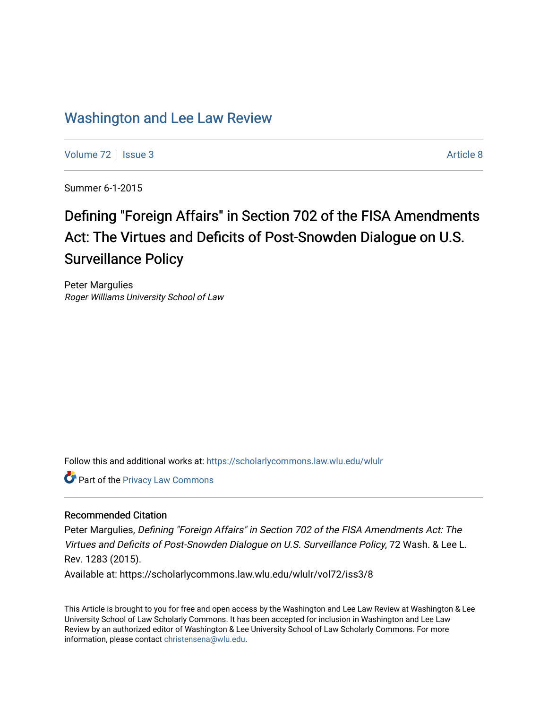# [Washington and Lee Law Review](https://scholarlycommons.law.wlu.edu/wlulr)

[Volume 72](https://scholarlycommons.law.wlu.edu/wlulr/vol72) | [Issue 3](https://scholarlycommons.law.wlu.edu/wlulr/vol72/iss3) Article 8

Summer 6-1-2015

# Defining "Foreign Affairs" in Section 702 of the FISA Amendments Act: The Virtues and Deficits of Post-Snowden Dialogue on U.S. Surveillance Policy

Peter Margulies Roger Williams University School of Law

Follow this and additional works at: [https://scholarlycommons.law.wlu.edu/wlulr](https://scholarlycommons.law.wlu.edu/wlulr?utm_source=scholarlycommons.law.wlu.edu%2Fwlulr%2Fvol72%2Fiss3%2F8&utm_medium=PDF&utm_campaign=PDFCoverPages) 

**Part of the Privacy Law Commons** 

## Recommended Citation

Peter Margulies, Defining "Foreign Affairs" in Section 702 of the FISA Amendments Act: The Virtues and Deficits of Post-Snowden Dialogue on U.S. Surveillance Policy, 72 Wash. & Lee L. Rev. 1283 (2015). Available at: https://scholarlycommons.law.wlu.edu/wlulr/vol72/iss3/8

This Article is brought to you for free and open access by the Washington and Lee Law Review at Washington & Lee University School of Law Scholarly Commons. It has been accepted for inclusion in Washington and Lee Law Review by an authorized editor of Washington & Lee University School of Law Scholarly Commons. For more information, please contact [christensena@wlu.edu](mailto:christensena@wlu.edu).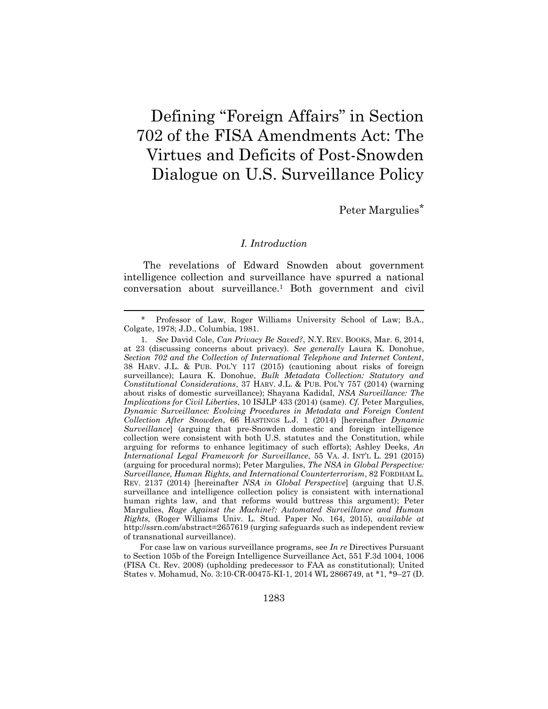# Defining "Foreign Affairs" in Section 702 of the FISA Amendments Act: The Virtues and Deficits of Post-Snowden Dialogue on U.S. Surveillance Policy

Peter Margulies\*

#### <span id="page-1-0"></span>*I. Introduction*

The revelations of Edward Snowden about government intelligence collection and surveillance have spurred a national conversation about surveillance.<sup>1</sup> Both government and civil

<sup>\*</sup> Professor of Law, Roger Williams University School of Law; B.A., Colgate, 1978; J.D., Columbia, 1981.

<sup>1</sup>*. See* David Cole, *Can Privacy Be Saved?*, N.Y. REV. BOOKS, Mar. 6, 2014, at 23 (discussing concerns about privacy). *See generally* Laura K. Donohue, *Section 702 and the Collection of International Telephone and Internet Content*, 38 HARV. J.L. & PUB. POL'Y 117 (2015) (cautioning about risks of foreign surveillance); Laura K. Donohue, *Bulk Metadata Collection: Statutory and Constitutional Considerations*, 37 HARV. J.L. & PUB. POL'Y 757 (2014) (warning about risks of domestic surveillance); Shayana Kadidal, *NSA Surveillance: The Implications for Civil Liberties*, 10 ISJLP 433 (2014) (same). *Cf.* Peter Margulies, *Dynamic Surveillance: Evolving Procedures in Metadata and Foreign Content Collection After Snowden*, 66 HASTINGS L.J. 1 (2014) [hereinafter *Dynamic Surveillance*] (arguing that pre-Snowden domestic and foreign intelligence collection were consistent with both U.S. statutes and the Constitution, while arguing for reforms to enhance legitimacy of such efforts); Ashley Deeks, *An International Legal Framework for Surveillance*, 55 VA. J. INT'L L. 291 (2015) (arguing for procedural norms); Peter Margulies, *The NSA in Global Perspective: Surveillance, Human Rights, and International Counterterrorism*, 82 FORDHAM L. REV. 2137 (2014) [hereinafter *NSA in Global Perspective*] (arguing that U.S. surveillance and intelligence collection policy is consistent with international human rights law, and that reforms would buttress this argument); Peter Margulies, *Rage Against the Machine?: Automated Surveillance and Human Rights*, (Roger Williams Univ. L. Stud. Paper No. 164, 2015), *available at*  http://ssrn.com/abstract=2657619 (urging safeguards such as independent review of transnational surveillance).

For case law on various surveillance programs, see *In re* Directives Pursuant to Section 105b of the Foreign Intelligence Surveillance Act, 551 F.3d 1004, 1006 (FISA Ct. Rev. 2008) (upholding predecessor to FAA as constitutional); United States v. Mohamud, No. 3:10-CR-00475-KI-1, 2014 WL 2866749, at \*1, \*9–27 (D.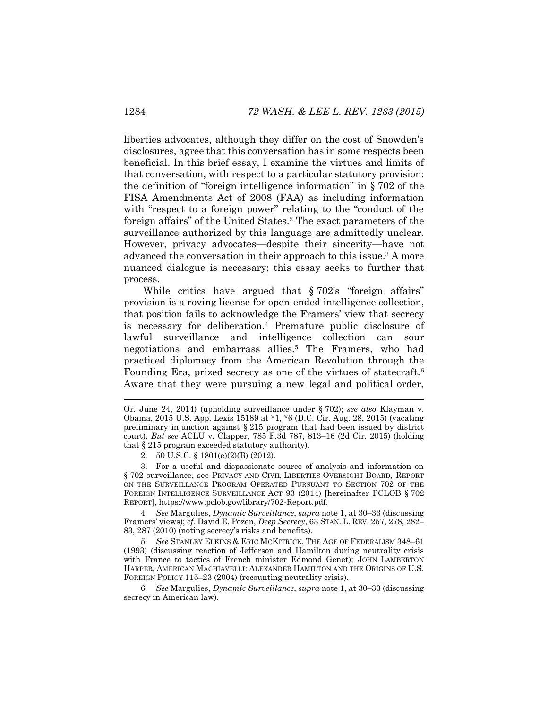liberties advocates, although they differ on the cost of Snowden's disclosures, agree that this conversation has in some respects been beneficial. In this brief essay, I examine the virtues and limits of that conversation, with respect to a particular statutory provision: the definition of "foreign intelligence information" in § 702 of the FISA Amendments Act of 2008 (FAA) as including information with "respect to a foreign power" relating to the "conduct of the foreign affairs" of the United States.<sup>2</sup> The exact parameters of the surveillance authorized by this language are admittedly unclear. However, privacy advocates—despite their sincerity—have not advanced the conversation in their approach to this issue.<sup>3</sup> A more nuanced dialogue is necessary; this essay seeks to further that process.

<span id="page-2-2"></span><span id="page-2-1"></span><span id="page-2-0"></span>While critics have argued that § 702's "foreign affairs" provision is a roving license for open-ended intelligence collection, that position fails to acknowledge the Framers' view that secrecy is necessary for deliberation.<sup>4</sup> Premature public disclosure of lawful surveillance and intelligence collection can sour negotiations and embarrass allies.<sup>5</sup> The Framers, who had practiced diplomacy from the American Revolution through the Founding Era, prized secrecy as one of the virtues of statecraft.<sup>6</sup> Aware that they were pursuing a new legal and political order,

2. 50 U.S.C. § 1801(e)(2)(B) (2012).

3. For a useful and dispassionate source of analysis and information on § 702 surveillance, see PRIVACY AND CIVIL LIBERTIES OVERSIGHT BOARD, REPORT ON THE SURVEILLANCE PROGRAM OPERATED PURSUANT TO SECTION 702 OF THE FOREIGN INTELLIGENCE SURVEILLANCE ACT 93 (2014) [hereinafter PCLOB § 702 REPORT], https://www.pclob.gov/library/702-Report.pdf.

4*. See* Margulies, *Dynamic Surveillance*, *supra* note [1,](#page-1-0) at 30–33 (discussing Framers' views); *cf.* David E. Pozen, *Deep Secrecy*, 63 STAN. L. REV. 257, 278, 282– 83, 287 (2010) (noting secrecy's risks and benefits).

5*. See* STANLEY ELKINS & ERIC MCKITRICK, THE AGE OF FEDERALISM 348–61 (1993) (discussing reaction of Jefferson and Hamilton during neutrality crisis with France to tactics of French minister Edmond Genet); JOHN LAMBERTON HARPER, AMERICAN MACHIAVELLI: ALEXANDER HAMILTON AND THE ORIGINS OF U.S. FOREIGN POLICY 115–23 (2004) (recounting neutrality crisis).

6*. See* Margulies, *Dynamic Surveillance*, *supra* note [1,](#page-1-0) at 30–33 (discussing secrecy in American law).

Or. June 24, 2014) (upholding surveillance under § 702); *see also* Klayman v. Obama, 2015 U.S. App. Lexis 15189 at \*1, \*6 (D.C. Cir. Aug. 28, 2015) (vacating preliminary injunction against § 215 program that had been issued by district court). *But see* ACLU v. Clapper, 785 F.3d 787, 813–16 (2d Cir. 2015) (holding that § 215 program exceeded statutory authority).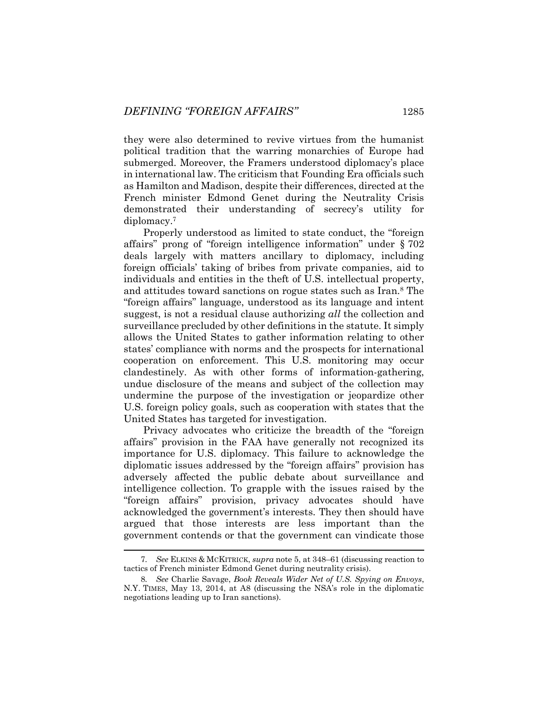they were also determined to revive virtues from the humanist political tradition that the warring monarchies of Europe had submerged. Moreover, the Framers understood diplomacy's place in international law. The criticism that Founding Era officials such as Hamilton and Madison, despite their differences, directed at the French minister Edmond Genet during the Neutrality Crisis demonstrated their understanding of secrecy's utility for diplomacy.<sup>7</sup>

Properly understood as limited to state conduct, the "foreign affairs" prong of "foreign intelligence information" under § 702 deals largely with matters ancillary to diplomacy, including foreign officials' taking of bribes from private companies, aid to individuals and entities in the theft of U.S. intellectual property, and attitudes toward sanctions on rogue states such as Iran.<sup>8</sup> The "foreign affairs" language, understood as its language and intent suggest, is not a residual clause authorizing *all* the collection and surveillance precluded by other definitions in the statute. It simply allows the United States to gather information relating to other states' compliance with norms and the prospects for international cooperation on enforcement. This U.S. monitoring may occur clandestinely. As with other forms of information-gathering, undue disclosure of the means and subject of the collection may undermine the purpose of the investigation or jeopardize other U.S. foreign policy goals, such as cooperation with states that the United States has targeted for investigation.

Privacy advocates who criticize the breadth of the "foreign affairs" provision in the FAA have generally not recognized its importance for U.S. diplomacy. This failure to acknowledge the diplomatic issues addressed by the "foreign affairs" provision has adversely affected the public debate about surveillance and intelligence collection. To grapple with the issues raised by the "foreign affairs" provision, privacy advocates should have acknowledged the government's interests. They then should have argued that those interests are less important than the government contends or that the government can vindicate those

<sup>7</sup>*. See* ELKINS & MCKITRICK, *supra* not[e 5,](#page-2-0) at 348–61 (discussing reaction to tactics of French minister Edmond Genet during neutrality crisis).

<sup>8</sup>*. See* Charlie Savage, *Book Reveals Wider Net of U.S. Spying on Envoys*, N.Y. TIMES, May 13, 2014, at A8 (discussing the NSA's role in the diplomatic negotiations leading up to Iran sanctions).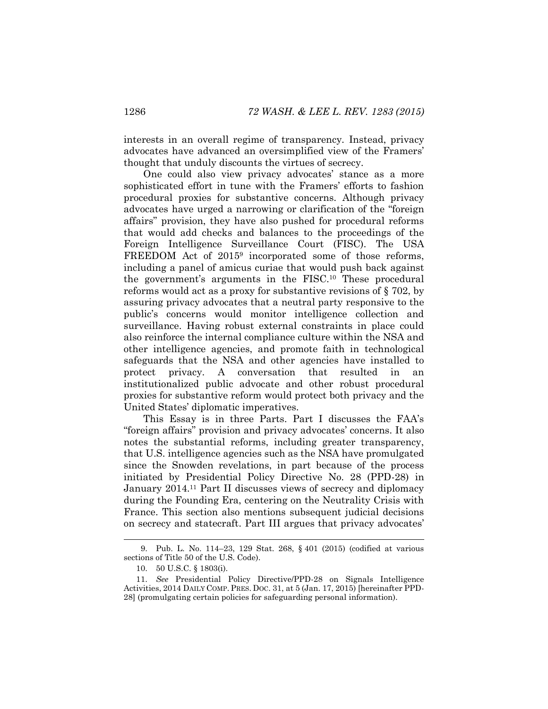interests in an overall regime of transparency. Instead, privacy advocates have advanced an oversimplified view of the Framers' thought that unduly discounts the virtues of secrecy.

One could also view privacy advocates' stance as a more sophisticated effort in tune with the Framers' efforts to fashion procedural proxies for substantive concerns. Although privacy advocates have urged a narrowing or clarification of the "foreign affairs" provision, they have also pushed for procedural reforms that would add checks and balances to the proceedings of the Foreign Intelligence Surveillance Court (FISC). The USA FREEDOM Act of 2015<sup>9</sup> incorporated some of those reforms, including a panel of amicus curiae that would push back against the government's arguments in the FISC.<sup>10</sup> These procedural reforms would act as a proxy for substantive revisions of § 702, by assuring privacy advocates that a neutral party responsive to the public's concerns would monitor intelligence collection and surveillance. Having robust external constraints in place could also reinforce the internal compliance culture within the NSA and other intelligence agencies, and promote faith in technological safeguards that the NSA and other agencies have installed to protect privacy. A conversation that resulted in an institutionalized public advocate and other robust procedural proxies for substantive reform would protect both privacy and the United States' diplomatic imperatives.

This Essay is in three Parts. Part I discusses the FAA's "foreign affairs" provision and privacy advocates' concerns. It also notes the substantial reforms, including greater transparency, that U.S. intelligence agencies such as the NSA have promulgated since the Snowden revelations, in part because of the process initiated by Presidential Policy Directive No. 28 (PPD-28) in January 2014.<sup>11</sup> Part II discusses views of secrecy and diplomacy during the Founding Era, centering on the Neutrality Crisis with France. This section also mentions subsequent judicial decisions on secrecy and statecraft. Part III argues that privacy advocates'

<span id="page-4-0"></span><sup>9.</sup> Pub. L. No. 114–23, 129 Stat. 268, § 401 (2015) (codified at various sections of Title 50 of the U.S. Code).

<sup>10.</sup> 50 U.S.C. § 1803(i).

<sup>11.</sup> *See* Presidential Policy Directive/PPD-28 on Signals Intelligence Activities, 2014 DAILY COMP. PRES. DOC. 31, at 5 (Jan. 17, 2015) [hereinafter PPD-28] (promulgating certain policies for safeguarding personal information).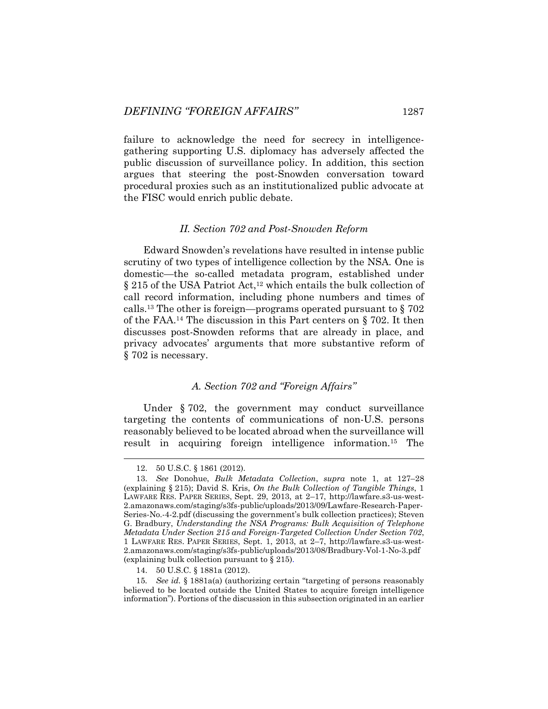failure to acknowledge the need for secrecy in intelligencegathering supporting U.S. diplomacy has adversely affected the public discussion of surveillance policy. In addition, this section argues that steering the post-Snowden conversation toward procedural proxies such as an institutionalized public advocate at the FISC would enrich public debate.

#### *II. Section 702 and Post-Snowden Reform*

Edward Snowden's revelations have resulted in intense public scrutiny of two types of intelligence collection by the NSA. One is domestic—the so-called metadata program, established under  $\S 215$  of the USA Patriot Act,<sup>12</sup> which entails the bulk collection of call record information, including phone numbers and times of calls.<sup>13</sup> The other is foreign—programs operated pursuant to  $\S 702$ of the FAA.<sup>14</sup> The discussion in this Part centers on § 702. It then discusses post-Snowden reforms that are already in place, and privacy advocates' arguments that more substantive reform of § 702 is necessary.

### *A. Section 702 and "Foreign Affairs"*

Under § 702, the government may conduct surveillance targeting the contents of communications of non-U.S. persons reasonably believed to be located abroad when the surveillance will result in acquiring foreign intelligence information.<sup>15</sup> The

<sup>12.</sup> 50 U.S.C. § 1861 (2012).

<sup>13.</sup> *See* Donohue, *Bulk Metadata Collection*, *supra* note [1,](#page-1-0) at 127–28 (explaining § 215); David S. Kris, *On the Bulk Collection of Tangible Things*, 1 LAWFARE RES. PAPER SERIES, Sept. 29, 2013, at 2–17, http://lawfare.s3-us-west-2.amazonaws.com/staging/s3fs-public/uploads/2013/09/Lawfare-Research-Paper-Series-No.-4-2.pdf (discussing the government's bulk collection practices); Steven G. Bradbury, *Understanding the NSA Programs: Bulk Acquisition of Telephone Metadata Under Section 215 and Foreign-Targeted Collection Under Section 702*, 1 LAWFARE RES. PAPER SERIES, Sept. 1, 2013, at 2–7, http://lawfare.s3-us-west-2.amazonaws.com/staging/s3fs-public/uploads/2013/08/Bradbury-Vol-1-No-3.pdf (explaining bulk collection pursuant to § 215).

<sup>14.</sup> 50 U.S.C. § 1881a (2012).

<sup>15</sup>*. See id.* § 1881a(a) (authorizing certain "targeting of persons reasonably believed to be located outside the United States to acquire foreign intelligence information"). Portions of the discussion in this subsection originated in an earlier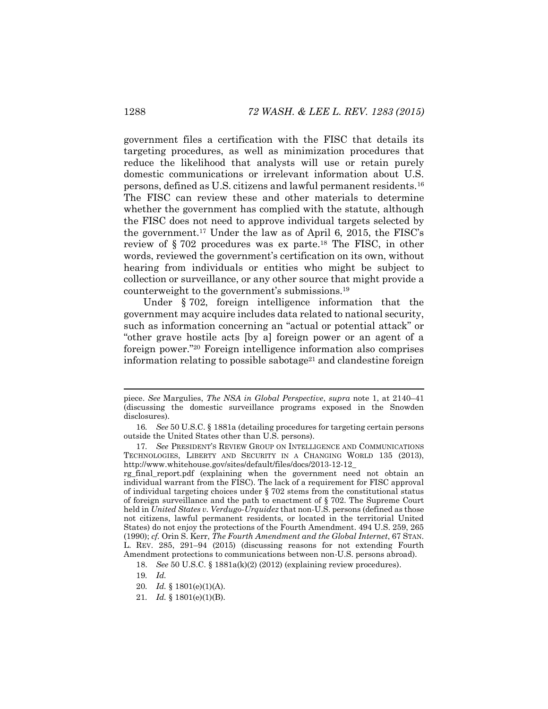government files a certification with the FISC that details its targeting procedures, as well as minimization procedures that reduce the likelihood that analysts will use or retain purely domestic communications or irrelevant information about U.S. persons, defined as U.S. citizens and lawful permanent residents.<sup>16</sup> The FISC can review these and other materials to determine whether the government has complied with the statute, although the FISC does not need to approve individual targets selected by the government.<sup>17</sup> Under the law as of April 6, 2015, the FISC's review of § 702 procedures was ex parte. <sup>18</sup> The FISC, in other words, reviewed the government's certification on its own, without hearing from individuals or entities who might be subject to collection or surveillance, or any other source that might provide a counterweight to the government's submissions.<sup>19</sup>

Under § 702, foreign intelligence information that the government may acquire includes data related to national security, such as information concerning an "actual or potential attack" or "other grave hostile acts [by a] foreign power or an agent of a foreign power."<sup>20</sup> Foreign intelligence information also comprises information relating to possible sabotage<sup>21</sup> and clandestine foreign

piece. *See* Margulies, *The NSA in Global Perspective*, *supra* note [1,](#page-1-0) at 2140–41 (discussing the domestic surveillance programs exposed in the Snowden disclosures).

<sup>16</sup>*. See* 50 U.S.C. § 1881a (detailing procedures for targeting certain persons outside the United States other than U.S. persons).

<sup>17</sup>*. See* PRESIDENT'S REVIEW GROUP ON INTELLIGENCE AND COMMUNICATIONS TECHNOLOGIES, LIBERTY AND SECURITY IN A CHANGING WORLD 135 (2013), http://www.whitehouse.gov/sites/default/files/docs/2013-12-12\_

rg\_final\_report.pdf (explaining when the government need not obtain an individual warrant from the FISC). The lack of a requirement for FISC approval of individual targeting choices under § 702 stems from the constitutional status of foreign surveillance and the path to enactment of § 702. The Supreme Court held in *United States v. Verdugo-Urquidez* that non-U.S. persons (defined as those not citizens, lawful permanent residents, or located in the territorial United States) do not enjoy the protections of the Fourth Amendment. 494 U.S. 259, 265 (1990); *cf.* Orin S. Kerr, *The Fourth Amendment and the Global Internet*, 67 STAN. L. REV. 285, 291–94 (2015) (discussing reasons for not extending Fourth Amendment protections to communications between non-U.S. persons abroad).

<sup>18.</sup> *See* 50 U.S.C. § 1881a(k)(2) (2012) (explaining review procedures).

<sup>19</sup>*. Id.*

<sup>20</sup>*. Id.* § 1801(e)(1)(A).

<sup>21</sup>*. Id.* § 1801(e)(1)(B).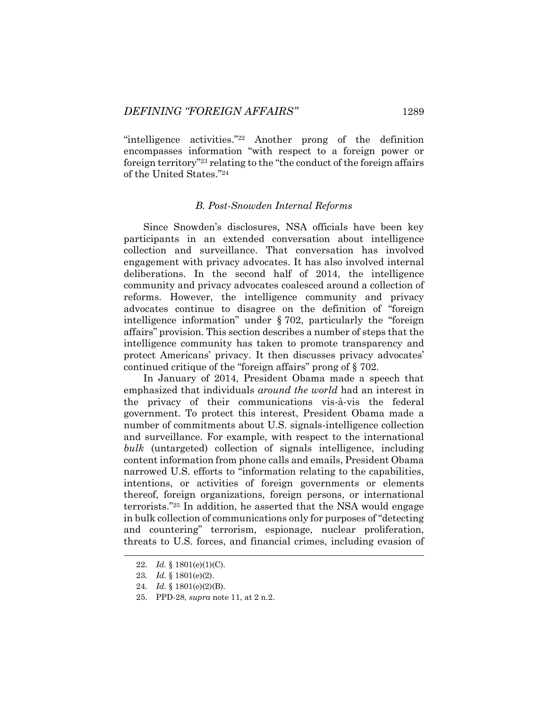"intelligence activities."<sup>22</sup> Another prong of the definition encompasses information "with respect to a foreign power or foreign territory"<sup>23</sup> relating to the "the conduct of the foreign affairs of the United States."<sup>24</sup>

#### *B. Post-Snowden Internal Reforms*

Since Snowden's disclosures, NSA officials have been key participants in an extended conversation about intelligence collection and surveillance. That conversation has involved engagement with privacy advocates. It has also involved internal deliberations. In the second half of 2014, the intelligence community and privacy advocates coalesced around a collection of reforms. However, the intelligence community and privacy advocates continue to disagree on the definition of "foreign intelligence information" under § 702, particularly the "foreign affairs" provision. This section describes a number of steps that the intelligence community has taken to promote transparency and protect Americans' privacy. It then discusses privacy advocates' continued critique of the "foreign affairs" prong of § 702.

In January of 2014, President Obama made a speech that emphasized that individuals *around the world* had an interest in the privacy of their communications vis-à-vis the federal government. To protect this interest, President Obama made a number of commitments about U.S. signals-intelligence collection and surveillance. For example, with respect to the international *bulk* (untargeted) collection of signals intelligence, including content information from phone calls and emails, President Obama narrowed U.S. efforts to "information relating to the capabilities, intentions, or activities of foreign governments or elements thereof, foreign organizations, foreign persons, or international terrorists."<sup>25</sup> In addition, he asserted that the NSA would engage in bulk collection of communications only for purposes of "detecting and countering" terrorism, espionage, nuclear proliferation, threats to U.S. forces, and financial crimes, including evasion of

<sup>22</sup>*. Id.* § 1801(e)(1)(C).

<sup>23</sup>*. Id.* § 1801(e)(2).

<sup>24</sup>*. Id.* § 1801(e)(2)(B).

<sup>25.</sup> PPD-28, *supra* note [11,](#page-4-0) at 2 n.2.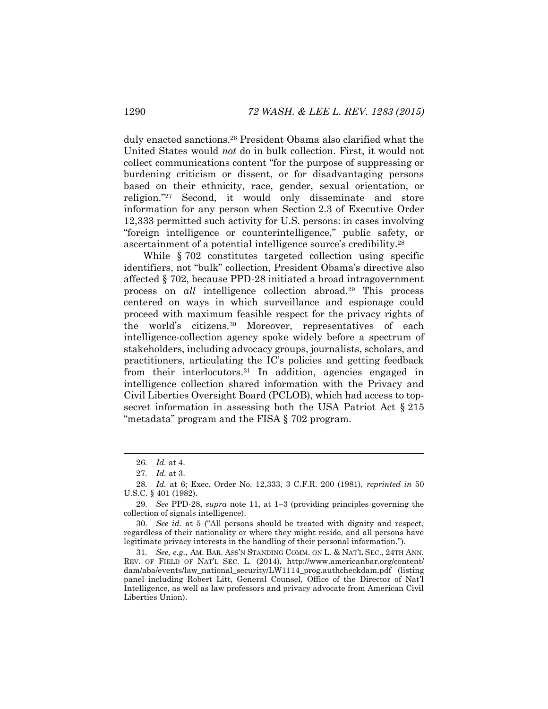duly enacted sanctions.<sup>26</sup> President Obama also clarified what the United States would *not* do in bulk collection. First, it would not collect communications content "for the purpose of suppressing or burdening criticism or dissent, or for disadvantaging persons based on their ethnicity, race, gender, sexual orientation, or religion."<sup>27</sup> Second, it would only disseminate and store information for any person when Section 2.3 of Executive Order 12,333 permitted such activity for U.S. persons: in cases involving "foreign intelligence or counterintelligence," public safety, or ascertainment of a potential intelligence source's credibility.<sup>28</sup>

<span id="page-8-0"></span>While  $\S 702$  constitutes targeted collection using specific identifiers, not "bulk" collection, President Obama's directive also affected § 702, because PPD-28 initiated a broad intragovernment process on *all* intelligence collection abroad.<sup>29</sup> This process centered on ways in which surveillance and espionage could proceed with maximum feasible respect for the privacy rights of the world's citizens.<sup>30</sup> Moreover, representatives of each intelligence-collection agency spoke widely before a spectrum of stakeholders, including advocacy groups, journalists, scholars, and practitioners, articulating the IC's policies and getting feedback from their interlocutors.<sup>31</sup> In addition, agencies engaged in intelligence collection shared information with the Privacy and Civil Liberties Oversight Board (PCLOB), which had access to topsecret information in assessing both the USA Patriot Act  $\S 215$ "metadata" program and the FISA § 702 program.

<sup>26</sup>*. Id.* at 4.

<sup>27</sup>*. Id.* at 3.

<sup>28</sup>*. Id.* at 6; Exec. Order No. 12,333, 3 C.F.R. 200 (1981), *reprinted in* 50 U.S.C. § 401 (1982).

<sup>29</sup>*. See* PPD-28, *supra* note [11,](#page-4-0) at 1–3 (providing principles governing the collection of signals intelligence).

<sup>30</sup>*. See id.* at 5 ("All persons should be treated with dignity and respect, regardless of their nationality or where they might reside, and all persons have legitimate privacy interests in the handling of their personal information.").

<sup>31</sup>*. See, e.g.*, AM. BAR. ASS'N STANDING COMM. ON L. & NAT'L SEC., 24TH ANN. REV. OF FIELD OF NAT'L SEC. L. (2014), http://www.americanbar.org/content/ dam/aba/events/law\_national\_security/LW1114\_prog.authcheckdam.pdf (listing panel including Robert Litt, General Counsel, Office of the Director of Nat'l Intelligence, as well as law professors and privacy advocate from American Civil Liberties Union).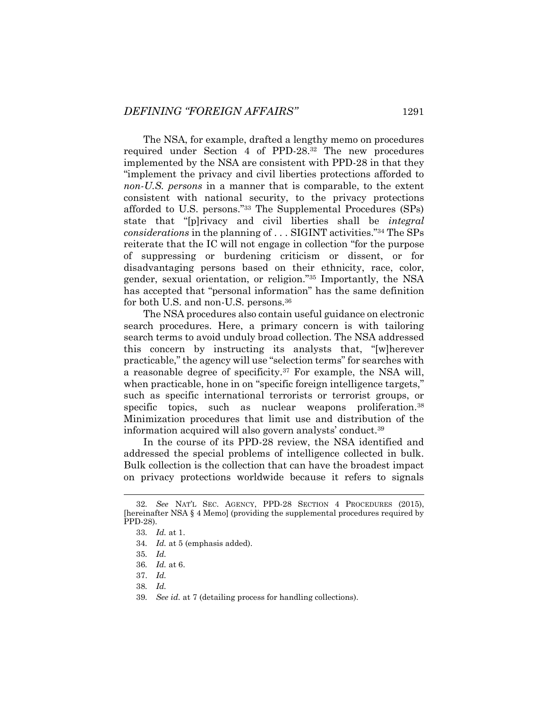<span id="page-9-0"></span>The NSA, for example, drafted a lengthy memo on procedures required under Section 4 of PPD-28.<sup>32</sup> The new procedures implemented by the NSA are consistent with PPD-28 in that they "implement the privacy and civil liberties protections afforded to *non-U.S. persons* in a manner that is comparable, to the extent consistent with national security, to the privacy protections afforded to U.S. persons."<sup>33</sup> The Supplemental Procedures (SPs) state that "[p]rivacy and civil liberties shall be *integral considerations* in the planning of . . . SIGINT activities."<sup>34</sup> The SPs reiterate that the IC will not engage in collection "for the purpose of suppressing or burdening criticism or dissent, or for disadvantaging persons based on their ethnicity, race, color, gender, sexual orientation, or religion."<sup>35</sup> Importantly, the NSA has accepted that "personal information" has the same definition for both U.S. and non-U.S. persons.<sup>36</sup>

The NSA procedures also contain useful guidance on electronic search procedures. Here, a primary concern is with tailoring search terms to avoid unduly broad collection. The NSA addressed this concern by instructing its analysts that, "[w]herever practicable," the agency will use "selection terms" for searches with a reasonable degree of specificity.<sup>37</sup> For example, the NSA will, when practicable, hone in on "specific foreign intelligence targets," such as specific international terrorists or terrorist groups, or specific topics, such as nuclear weapons proliferation.<sup>38</sup> Minimization procedures that limit use and distribution of the information acquired will also govern analysts' conduct.<sup>39</sup>

In the course of its PPD-28 review, the NSA identified and addressed the special problems of intelligence collected in bulk. Bulk collection is the collection that can have the broadest impact on privacy protections worldwide because it refers to signals

<sup>32</sup>*. See* NAT'L SEC. AGENCY, PPD-28 SECTION 4 PROCEDURES (2015), [hereinafter NSA § 4 Memo] (providing the supplemental procedures required by PPD-28).

<sup>33</sup>*. Id.* at 1.

<sup>34</sup>*. Id.* at 5 (emphasis added).

<sup>35</sup>*. Id.*

<sup>36</sup>*. Id.* at 6.

<sup>37.</sup> *Id.*

<sup>38</sup>*. Id.*

<sup>39</sup>*. See id.* at 7 (detailing process for handling collections).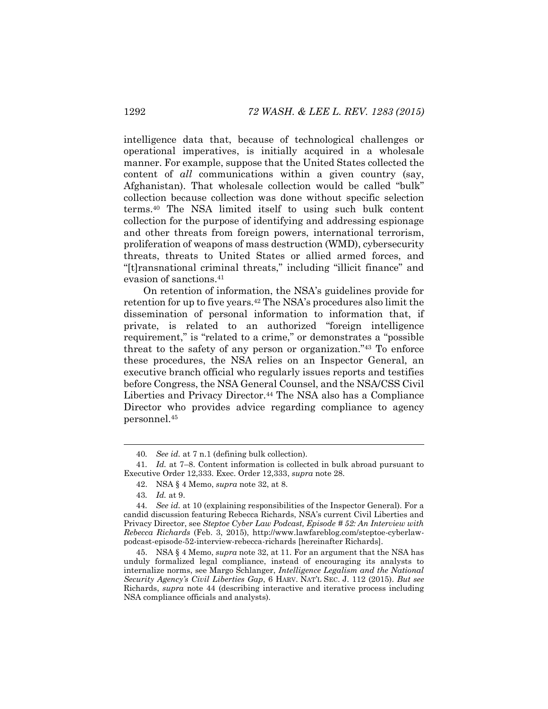intelligence data that, because of technological challenges or operational imperatives, is initially acquired in a wholesale manner. For example, suppose that the United States collected the content of *all* communications within a given country (say, Afghanistan). That wholesale collection would be called "bulk" collection because collection was done without specific selection terms.<sup>40</sup> The NSA limited itself to using such bulk content collection for the purpose of identifying and addressing espionage and other threats from foreign powers, international terrorism, proliferation of weapons of mass destruction (WMD), cybersecurity threats, threats to United States or allied armed forces, and "[t]ransnational criminal threats," including "illicit finance" and evasion of sanctions.<sup>41</sup>

On retention of information, the NSA's guidelines provide for retention for up to five years.<sup>42</sup> The NSA's procedures also limit the dissemination of personal information to information that, if private, is related to an authorized "foreign intelligence requirement," is "related to a crime," or demonstrates a "possible threat to the safety of any person or organization."<sup>43</sup> To enforce these procedures, the NSA relies on an Inspector General, an executive branch official who regularly issues reports and testifies before Congress, the NSA General Counsel, and the NSA/CSS Civil Liberties and Privacy Director.<sup>44</sup> The NSA also has a Compliance Director who provides advice regarding compliance to agency personnel.<sup>45</sup>

<span id="page-10-0"></span><sup>40</sup>*. See id.* at 7 n.1 (defining bulk collection).

<sup>41</sup>*. Id.* at 7–8. Content information is collected in bulk abroad pursuant to Executive Order 12,333. Exec. Order 12,333, *supra* not[e 28.](#page-8-0)

<sup>42.</sup> NSA § 4 Memo, *supra* note [32,](#page-9-0) at 8.

<sup>43</sup>*. Id.* at 9.

<sup>44</sup>*. See id.* at 10 (explaining responsibilities of the Inspector General). For a candid discussion featuring Rebecca Richards, NSA's current Civil Liberties and Privacy Director, see *Steptoe Cyber Law Podcast, Episode # 52: An Interview with Rebecca Richards* (Feb. 3, 2015), http://www.lawfareblog.com/steptoe-cyberlawpodcast-episode-52-interview-rebecca-richards [hereinafter Richards].

<sup>45.</sup> NSA § 4 Memo, *supra* not[e 32,](#page-9-0) at 11. For an argument that the NSA has unduly formalized legal compliance, instead of encouraging its analysts to internalize norms, see Margo Schlanger, *Intelligence Legalism and the National Security Agency's Civil Liberties Gap*, 6 HARV. NAT'L SEC. J. 112 (2015). *But see* Richards, *supra* note [44](#page-10-0) (describing interactive and iterative process including NSA compliance officials and analysts).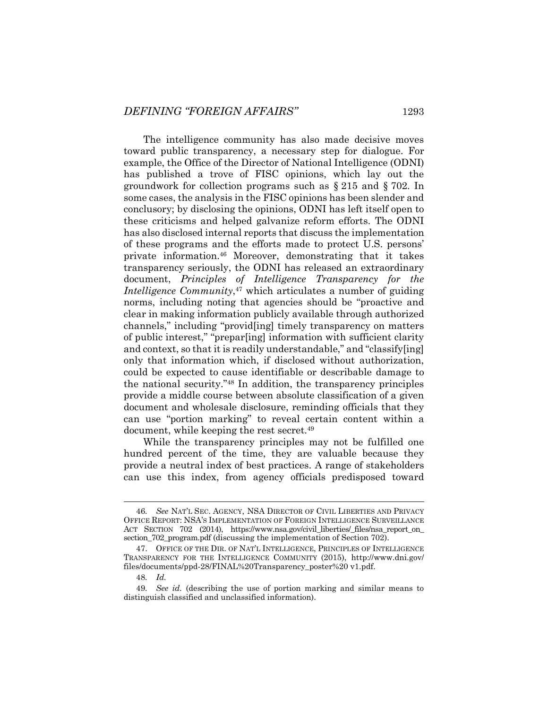The intelligence community has also made decisive moves toward public transparency, a necessary step for dialogue. For example, the Office of the Director of National Intelligence (ODNI) has published a trove of FISC opinions, which lay out the groundwork for collection programs such as § 215 and § 702. In some cases, the analysis in the FISC opinions has been slender and conclusory; by disclosing the opinions, ODNI has left itself open to these criticisms and helped galvanize reform efforts. The ODNI has also disclosed internal reports that discuss the implementation of these programs and the efforts made to protect U.S. persons' private information.<sup>46</sup> Moreover, demonstrating that it takes transparency seriously, the ODNI has released an extraordinary document, *Principles of Intelligence Transparency for the Intelligence Community*, <sup>47</sup> which articulates a number of guiding norms, including noting that agencies should be "proactive and clear in making information publicly available through authorized channels," including "provid[ing] timely transparency on matters of public interest," "prepar[ing] information with sufficient clarity and context, so that it is readily understandable," and "classify[ing] only that information which, if disclosed without authorization, could be expected to cause identifiable or describable damage to the national security."<sup>48</sup> In addition, the transparency principles provide a middle course between absolute classification of a given document and wholesale disclosure, reminding officials that they can use "portion marking" to reveal certain content within a document, while keeping the rest secret.<sup>49</sup>

While the transparency principles may not be fulfilled one hundred percent of the time, they are valuable because they provide a neutral index of best practices. A range of stakeholders can use this index, from agency officials predisposed toward

<sup>46</sup>*. See* NAT'L SEC. AGENCY, NSA DIRECTOR OF CIVIL LIBERTIES AND PRIVACY OFFICE REPORT: NSA'S IMPLEMENTATION OF FOREIGN INTELLIGENCE SURVEILLANCE ACT SECTION 702 (2014), https://www.nsa.gov/civil\_liberties/\_files/nsa\_report\_on section  $702$  program.pdf (discussing the implementation of Section 702).

<sup>47.</sup> OFFICE OF THE DIR. OF NAT'L INTELLIGENCE, PRINCIPLES OF INTELLIGENCE TRANSPARENCY FOR THE INTELLIGENCE COMMUNITY (2015), http://www.dni.gov/ files/documents/ppd-28/FINAL%20Transparency\_poster%20 v1.pdf.

<sup>48</sup>*. Id.*

<sup>49</sup>*. See id.* (describing the use of portion marking and similar means to distinguish classified and unclassified information).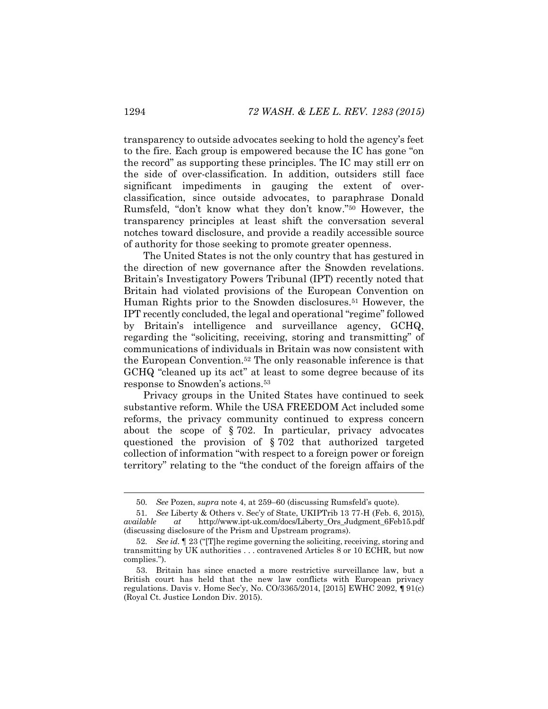transparency to outside advocates seeking to hold the agency's feet to the fire. Each group is empowered because the IC has gone "on the record" as supporting these principles. The IC may still err on the side of over-classification. In addition, outsiders still face significant impediments in gauging the extent of overclassification, since outside advocates, to paraphrase Donald Rumsfeld, "don't know what they don't know."<sup>50</sup> However, the transparency principles at least shift the conversation several notches toward disclosure, and provide a readily accessible source of authority for those seeking to promote greater openness.

The United States is not the only country that has gestured in the direction of new governance after the Snowden revelations. Britain's Investigatory Powers Tribunal (IPT) recently noted that Britain had violated provisions of the European Convention on Human Rights prior to the Snowden disclosures.<sup>51</sup> However, the IPT recently concluded, the legal and operational "regime" followed by Britain's intelligence and surveillance agency, GCHQ, regarding the "soliciting, receiving, storing and transmitting" of communications of individuals in Britain was now consistent with the European Convention.<sup>52</sup> The only reasonable inference is that GCHQ "cleaned up its act" at least to some degree because of its response to Snowden's actions.<sup>53</sup>

Privacy groups in the United States have continued to seek substantive reform. While the USA FREEDOM Act included some reforms, the privacy community continued to express concern about the scope of § 702. In particular, privacy advocates questioned the provision of § 702 that authorized targeted collection of information "with respect to a foreign power or foreign territory" relating to the "the conduct of the foreign affairs of the

<sup>50</sup>*. See* Pozen, *supra* note [4,](#page-2-1) at 259–60 (discussing Rumsfeld's quote).

<sup>51</sup>*. See* Liberty & Others v. Sec'y of State, UKIPTrib 13 77-H (Feb. 6, 2015), *available at* http://www.ipt-uk.com/docs/Liberty\_Ors\_Judgment\_6Feb15.pdf (discussing disclosure of the Prism and Upstream programs).

<sup>52</sup>*. See id.* ¶ 23 ("[T]he regime governing the soliciting, receiving, storing and transmitting by UK authorities . . . contravened Articles 8 or 10 ECHR, but now complies.").

<sup>53.</sup> Britain has since enacted a more restrictive surveillance law, but a British court has held that the new law conflicts with European privacy regulations. Davis v. Home Sec'y, No. CO/3365/2014, [2015] EWHC 2092, **¶** 91(c) (Royal Ct. Justice London Div. 2015).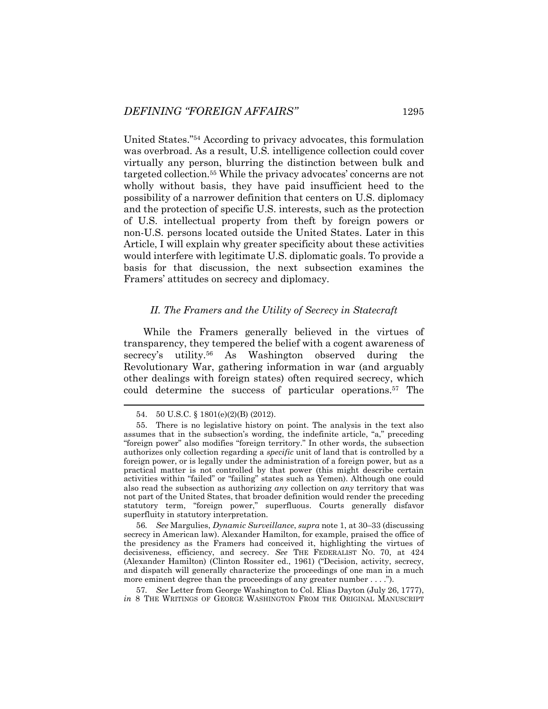United States."<sup>54</sup> According to privacy advocates, this formulation was overbroad. As a result, U.S. intelligence collection could cover virtually any person, blurring the distinction between bulk and targeted collection.<sup>55</sup> While the privacy advocates' concerns are not wholly without basis, they have paid insufficient heed to the possibility of a narrower definition that centers on U.S. diplomacy and the protection of specific U.S. interests, such as the protection of U.S. intellectual property from theft by foreign powers or non-U.S. persons located outside the United States. Later in this Article, I will explain why greater specificity about these activities would interfere with legitimate U.S. diplomatic goals. To provide a basis for that discussion, the next subsection examines the Framers' attitudes on secrecy and diplomacy.

#### *II. The Framers and the Utility of Secrecy in Statecraft*

While the Framers generally believed in the virtues of transparency, they tempered the belief with a cogent awareness of secrecy's utility.<sup>56</sup> As Washington observed during the Revolutionary War, gathering information in war (and arguably other dealings with foreign states) often required secrecy, which could determine the success of particular operations.<sup>57</sup> The

56*. See* Margulies, *Dynamic Surveillance*, *supra* note [1,](#page-1-0) at 30–33 (discussing secrecy in American law). Alexander Hamilton, for example, praised the office of the presidency as the Framers had conceived it, highlighting the virtues of decisiveness, efficiency, and secrecy. *See* THE FEDERALIST NO. 70, at 424 (Alexander Hamilton) (Clinton Rossiter ed., 1961) ("Decision, activity, secrecy, and dispatch will generally characterize the proceedings of one man in a much more eminent degree than the proceedings of any greater number . . . .").

57*. See* Letter from George Washington to Col. Elias Dayton (July 26, 1777), *in* 8 THE WRITINGS OF GEORGE WASHINGTON FROM THE ORIGINAL MANUSCRIPT

<sup>54.</sup> 50 U.S.C. § 1801(e)(2)(B) (2012).

<sup>55.</sup> There is no legislative history on point. The analysis in the text also assumes that in the subsection's wording, the indefinite article, "a," preceding "foreign power" also modifies "foreign territory." In other words, the subsection authorizes only collection regarding a *specific* unit of land that is controlled by a foreign power, or is legally under the administration of a foreign power, but as a practical matter is not controlled by that power (this might describe certain activities within "failed" or "failing" states such as Yemen). Although one could also read the subsection as authorizing *any* collection on *any* territory that was not part of the United States, that broader definition would render the preceding statutory term, "foreign power," superfluous. Courts generally disfavor superfluity in statutory interpretation.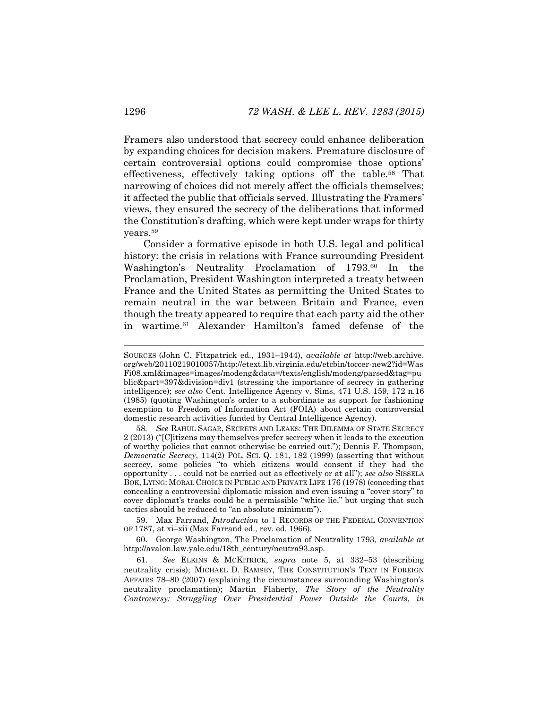Framers also understood that secrecy could enhance deliberation by expanding choices for decision makers. Premature disclosure of certain controversial options could compromise those options' effectiveness, effectively taking options off the table.<sup>58</sup> That narrowing of choices did not merely affect the officials themselves; it affected the public that officials served. Illustrating the Framers' views, they ensured the secrecy of the deliberations that informed the Constitution's drafting, which were kept under wraps for thirty years.<sup>59</sup>

Consider a formative episode in both U.S. legal and political history: the crisis in relations with France surrounding President Washington's Neutrality Proclamation of 1793.<sup>60</sup> In the Proclamation, President Washington interpreted a treaty between France and the United States as permitting the United States to remain neutral in the war between Britain and France, even though the treaty appeared to require that each party aid the other in wartime.<sup>61</sup> Alexander Hamilton's famed defense of the

59. Max Farrand, *Introduction* to 1 RECORDS OF THE FEDERAL CONVENTION OF 1787, at xi–xii (Max Farrand ed., rev. ed. 1966).

60. George Washington, The Proclamation of Neutrality 1793, *available at* http://avalon.law.yale.edu/18th\_century/neutra93.asp.

61. *See* ELKINS & MCKITRICK, *supra* note [5,](#page-2-0) at 332–53 (describing neutrality crisis); MICHAEL D. RAMSEY, THE CONSTITUTION'S TEXT IN FOREIGN AFFAIRS 78–80 (2007) (explaining the circumstances surrounding Washington's neutrality proclamation); Martin Flaherty, *The Story of the Neutrality Controversy: Struggling Over Presidential Power Outside the Courts*, *in*

SOURCES (John C. Fitzpatrick ed., 1931–1944), *available at* http://web.archive. org/web/20110219010057/http://etext.lib.virginia.edu/etcbin/toccer-new2?id=Was Fi08.xml&images=images/modeng&data=/texts/english/modeng/parsed&tag=pu blic&part=397&division=div1 (stressing the importance of secrecy in gathering intelligence); *see also* Cent. Intelligence Agency v. Sims, 471 U.S. 159, 172 n.16 (1985) (quoting Washington's order to a subordinate as support for fashioning exemption to Freedom of Information Act (FOIA) about certain controversial domestic research activities funded by Central Intelligence Agency).

<sup>58</sup>*. See* RAHUL SAGAR, SECRETS AND LEAKS: THE DILEMMA OF STATE SECRECY 2 (2013) ("[C]itizens may themselves prefer secrecy when it leads to the execution of worthy policies that cannot otherwise be carried out."); Dennis F. Thompson, *Democratic Secrecy*, 114(2) POL. SCI. Q. 181, 182 (1999) (asserting that without secrecy, some policies "to which citizens would consent if they had the opportunity . . . could not be carried out as effectively or at all"); *see also* SISSELA BOK, LYING: MORAL CHOICE IN PUBLIC AND PRIVATE LIFE 176 (1978) (conceding that concealing a controversial diplomatic mission and even issuing a "cover story" to cover diplomat's tracks could be a permissible "white lie," but urging that such tactics should be reduced to "an absolute minimum").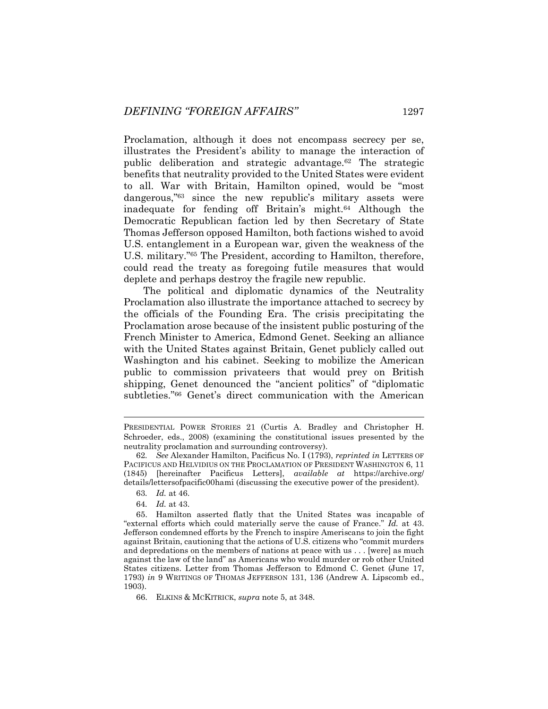Proclamation, although it does not encompass secrecy per se, illustrates the President's ability to manage the interaction of public deliberation and strategic advantage.<sup>62</sup> The strategic benefits that neutrality provided to the United States were evident to all. War with Britain, Hamilton opined, would be "most dangerous,<sup>"63</sup> since the new republic's military assets were inadequate for fending off Britain's might.<sup>64</sup> Although the Democratic Republican faction led by then Secretary of State Thomas Jefferson opposed Hamilton, both factions wished to avoid U.S. entanglement in a European war, given the weakness of the U.S. military."<sup>65</sup> The President, according to Hamilton, therefore, could read the treaty as foregoing futile measures that would deplete and perhaps destroy the fragile new republic.

The political and diplomatic dynamics of the Neutrality Proclamation also illustrate the importance attached to secrecy by the officials of the Founding Era. The crisis precipitating the Proclamation arose because of the insistent public posturing of the French Minister to America, Edmond Genet. Seeking an alliance with the United States against Britain, Genet publicly called out Washington and his cabinet. Seeking to mobilize the American public to commission privateers that would prey on British shipping, Genet denounced the "ancient politics" of "diplomatic subtleties."<sup>66</sup> Genet's direct communication with the American

PRESIDENTIAL POWER STORIES 21 (Curtis A. Bradley and Christopher H. Schroeder, eds., 2008) (examining the constitutional issues presented by the neutrality proclamation and surrounding controversy).

<sup>62</sup>*. See* Alexander Hamilton, Pacificus No. I (1793), *reprinted in* LETTERS OF PACIFICUS AND HELVIDIUS ON THE PROCLAMATION OF PRESIDENT WASHINGTON 6, 11 (1845) [hereinafter Pacificus Letters], *available at* https://archive.org/ details/lettersofpacific00hami (discussing the executive power of the president).

<sup>63</sup>*. Id.* at 46.

<sup>64</sup>*. Id.* at 43.

<sup>65.</sup> Hamilton asserted flatly that the United States was incapable of "external efforts which could materially serve the cause of France." *Id.* at 43. Jefferson condemned efforts by the French to inspire Ameriscans to join the fight against Britain, cautioning that the actions of U.S. citizens who "commit murders and depredations on the members of nations at peace with us . . . [were] as much against the law of the land" as Americans who would murder or rob other United States citizens. Letter from Thomas Jefferson to Edmond C. Genet (June 17, 1793) *in* 9 WRITINGS OF THOMAS JEFFERSON 131, 136 (Andrew A. Lipscomb ed., 1903).

<sup>66.</sup> ELKINS & MCKITRICK, *supra* note [5,](#page-2-0) at 348.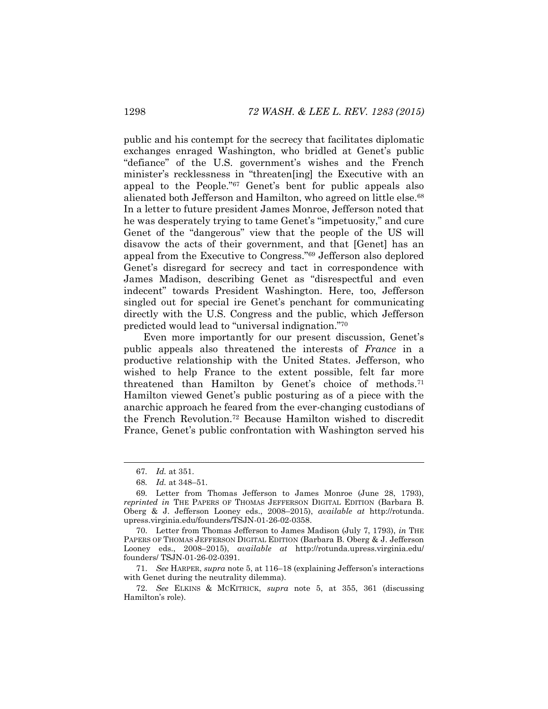public and his contempt for the secrecy that facilitates diplomatic exchanges enraged Washington, who bridled at Genet's public "defiance" of the U.S. government's wishes and the French minister's recklessness in "threaten[ing] the Executive with an appeal to the People."<sup>67</sup> Genet's bent for public appeals also alienated both Jefferson and Hamilton, who agreed on little else.<sup>68</sup> In a letter to future president James Monroe, Jefferson noted that he was desperately trying to tame Genet's "impetuosity," and cure Genet of the "dangerous" view that the people of the US will disavow the acts of their government, and that [Genet] has an appeal from the Executive to Congress."<sup>69</sup> Jefferson also deplored Genet's disregard for secrecy and tact in correspondence with James Madison, describing Genet as "disrespectful and even indecent" towards President Washington. Here, too, Jefferson singled out for special ire Genet's penchant for communicating directly with the U.S. Congress and the public, which Jefferson predicted would lead to "universal indignation."<sup>70</sup>

Even more importantly for our present discussion, Genet's public appeals also threatened the interests of *France* in a productive relationship with the United States. Jefferson, who wished to help France to the extent possible, felt far more threatened than Hamilton by Genet's choice of methods.<sup>71</sup> Hamilton viewed Genet's public posturing as of a piece with the anarchic approach he feared from the ever-changing custodians of the French Revolution.<sup>72</sup> Because Hamilton wished to discredit France, Genet's public confrontation with Washington served his

l

71. *See* HARPER, *supra* not[e 5,](#page-2-0) at 116–18 (explaining Jefferson's interactions with Genet during the neutrality dilemma).

<sup>67</sup>*. Id.* at 351.

<sup>68</sup>*. Id.* at 348–51.

<sup>69</sup>*.* Letter from Thomas Jefferson to James Monroe (June 28, 1793), *reprinted in* THE PAPERS OF THOMAS JEFFERSON DIGITAL EDITION (Barbara B. Oberg & J. Jefferson Looney eds., 2008–2015), *available at* http://rotunda. upress.virginia.edu/founders/TSJN-01-26-02-0358.

<sup>70.</sup> Letter from Thomas Jefferson to James Madison (July 7, 1793), *in* THE PAPERS OF THOMAS JEFFERSON DIGITAL EDITION (Barbara B. Oberg & J. Jefferson Looney eds., 2008–2015), *available at* http://rotunda.upress.virginia.edu/ founders/ TSJN-01-26-02-0391.

<sup>72.</sup> *See* ELKINS & MCKITRICK, *supra* note [5,](#page-2-0) at 355, 361 (discussing Hamilton's role).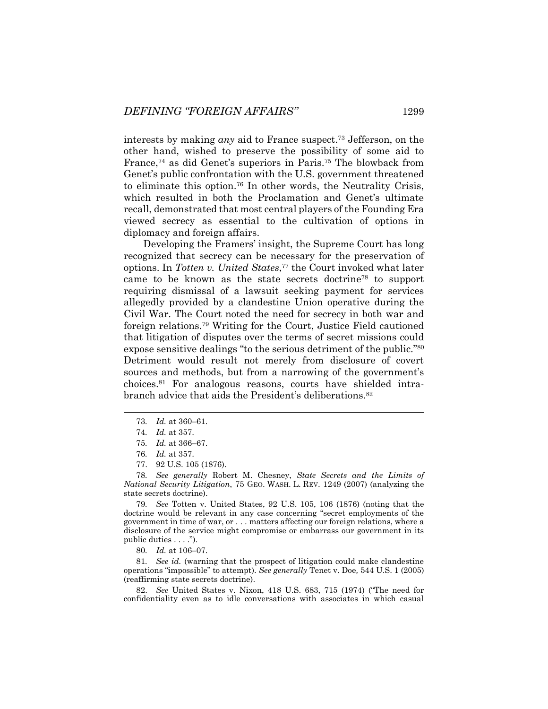interests by making *any* aid to France suspect.<sup>73</sup> Jefferson, on the other hand, wished to preserve the possibility of some aid to France,<sup>74</sup> as did Genet's superiors in Paris.<sup>75</sup> The blowback from Genet's public confrontation with the U.S. government threatened to eliminate this option.<sup>76</sup> In other words, the Neutrality Crisis, which resulted in both the Proclamation and Genet's ultimate recall, demonstrated that most central players of the Founding Era viewed secrecy as essential to the cultivation of options in diplomacy and foreign affairs.

Developing the Framers' insight, the Supreme Court has long recognized that secrecy can be necessary for the preservation of options. In *Totten v. United States*, <sup>77</sup> the Court invoked what later came to be known as the state secrets doctrine<sup>78</sup> to support requiring dismissal of a lawsuit seeking payment for services allegedly provided by a clandestine Union operative during the Civil War. The Court noted the need for secrecy in both war and foreign relations.<sup>79</sup> Writing for the Court, Justice Field cautioned that litigation of disputes over the terms of secret missions could expose sensitive dealings "to the serious detriment of the public."<sup>80</sup> Detriment would result not merely from disclosure of covert sources and methods, but from a narrowing of the government's choices.<sup>81</sup> For analogous reasons, courts have shielded intrabranch advice that aids the President's deliberations.<sup>82</sup>

78*. See generally* Robert M. Chesney, *State Secrets and the Limits of National Security Litigation*, 75 GEO. WASH. L. REV. 1249 (2007) (analyzing the state secrets doctrine).

79*. See* Totten v. United States, 92 U.S. 105, 106 (1876) (noting that the doctrine would be relevant in any case concerning "secret employments of the government in time of war, or . . . matters affecting our foreign relations, where a disclosure of the service might compromise or embarrass our government in its public duties . . . .").

80*. Id.* at 106–07.

81*. See id.* (warning that the prospect of litigation could make clandestine operations "impossible" to attempt). *See generally* Tenet v. Doe*,* 544 U.S. 1 (2005) (reaffirming state secrets doctrine).

82. *See* United States v. Nixon, 418 U.S. 683, 715 (1974) ("The need for confidentiality even as to idle conversations with associates in which casual

<sup>73</sup>*. Id.* at 360–61.

<sup>74</sup>*. Id.* at 357.

<sup>75</sup>*. Id.* at 366–67.

<sup>76</sup>*. Id.* at 357.

<sup>77.</sup> 92 U.S. 105 (1876).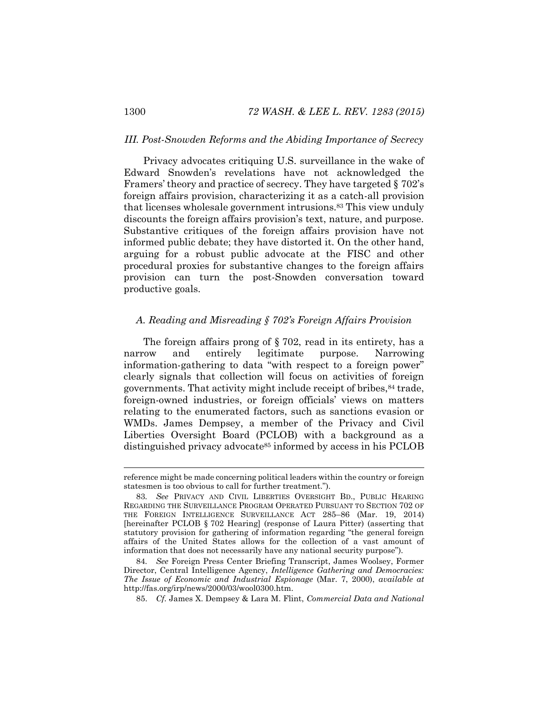#### *III. Post-Snowden Reforms and the Abiding Importance of Secrecy*

<span id="page-18-0"></span>Privacy advocates critiquing U.S. surveillance in the wake of Edward Snowden's revelations have not acknowledged the Framers' theory and practice of secrecy. They have targeted § 702's foreign affairs provision, characterizing it as a catch-all provision that licenses wholesale government intrusions.<sup>83</sup> This view unduly discounts the foreign affairs provision's text, nature, and purpose. Substantive critiques of the foreign affairs provision have not informed public debate; they have distorted it. On the other hand, arguing for a robust public advocate at the FISC and other procedural proxies for substantive changes to the foreign affairs provision can turn the post-Snowden conversation toward productive goals.

# *A. Reading and Misreading § 702's Foreign Affairs Provision*

The foreign affairs prong of § 702, read in its entirety, has a narrow and entirely legitimate purpose. Narrowing information-gathering to data "with respect to a foreign power" clearly signals that collection will focus on activities of foreign governments. That activity might include receipt of bribes, <sup>84</sup> trade, foreign-owned industries, or foreign officials' views on matters relating to the enumerated factors, such as sanctions evasion or WMDs. James Dempsey, a member of the Privacy and Civil Liberties Oversight Board (PCLOB) with a background as a distinguished privacy advocate<sup>85</sup> informed by access in his PCLOB

reference might be made concerning political leaders within the country or foreign statesmen is too obvious to call for further treatment.").

<sup>83</sup>*. See* PRIVACY AND CIVIL LIBERTIES OVERSIGHT BD., PUBLIC HEARING REGARDING THE SURVEILLANCE PROGRAM OPERATED PURSUANT TO SECTION 702 OF THE FOREIGN INTELLIGENCE SURVEILLANCE ACT 285–86 (Mar. 19, 2014) [hereinafter PCLOB § 702 Hearing] (response of Laura Pitter) (asserting that statutory provision for gathering of information regarding "the general foreign affairs of the United States allows for the collection of a vast amount of information that does not necessarily have any national security purpose").

<sup>84</sup>*. See* Foreign Press Center Briefing Transcript, James Woolsey, Former Director, Central Intelligence Agency, *Intelligence Gathering and Democracies: The Issue of Economic and Industrial Espionage* (Mar. 7, 2000), *available at* http://fas.org/irp/news/2000/03/wool0300.htm.

<sup>85.</sup> *Cf.* James X. Dempsey & Lara M. Flint, *Commercial Data and National*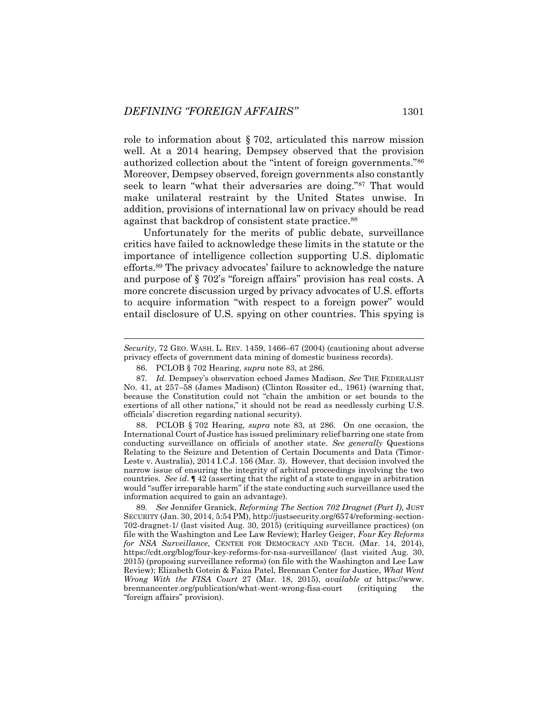role to information about § 702, articulated this narrow mission well. At a 2014 hearing, Dempsey observed that the provision authorized collection about the "intent of foreign governments."<sup>86</sup> Moreover, Dempsey observed, foreign governments also constantly seek to learn "what their adversaries are doing."<sup>87</sup> That would make unilateral restraint by the United States unwise. In addition, provisions of international law on privacy should be read against that backdrop of consistent state practice.<sup>88</sup>

Unfortunately for the merits of public debate, surveillance critics have failed to acknowledge these limits in the statute or the importance of intelligence collection supporting U.S. diplomatic efforts.<sup>89</sup> The privacy advocates' failure to acknowledge the nature and purpose of § 702's "foreign affairs" provision has real costs. A more concrete discussion urged by privacy advocates of U.S. efforts to acquire information "with respect to a foreign power" would entail disclosure of U.S. spying on other countries. This spying is

l

88. PCLOB § 702 Hearing, *supra* note [83,](#page-18-0) at 286. On one occasion, the International Court of Justice has issued preliminary relief barring one state from conducting surveillance on officials of another state. *See generally* Questions Relating to the Seizure and Detention of Certain Documents and Data (Timor-Leste v. Australia), 2014 I.C.J. 156 (Mar. 3). However, that decision involved the narrow issue of ensuring the integrity of arbitral proceedings involving the two countries. *See id*. **¶** 42 (asserting that the right of a state to engage in arbitration would "suffer irreparable harm" if the state conducting such surveillance used the information acquired to gain an advantage).

*Security*, 72 GEO. WASH. L. REV. 1459, 1466–67 (2004) (cautioning about adverse privacy effects of government data mining of domestic business records).

<sup>86.</sup> PCLOB § 702 Hearing, *supra* note [83,](#page-18-0) at 286.

<sup>87</sup>*. Id.* Dempsey's observation echoed James Madison. *See* THE FEDERALIST NO. 41, at 257–58 (James Madison) (Clinton Rossiter ed., 1961) (warning that, because the Constitution could not "chain the ambition or set bounds to the exertions of all other nations," it should not be read as needlessly curbing U.S. officials' discretion regarding national security).

<sup>89</sup>*. See* Jennifer Granick, *Reforming The Section 702 Dragnet (Part I)*, JUST SECURITY (Jan. 30, 2014, 5:54 PM), http://justsecurity.org/6574/reforming-section-702-dragnet-1/ (last visited Aug. 30, 2015) (critiquing surveillance practices) (on file with the Washington and Lee Law Review); Harley Geiger, *Four Key Reforms for NSA Surveillance*, CENTER FOR DEMOCRACY AND TECH. (Mar. 14, 2014), https://cdt.org/blog/four-key-reforms-for-nsa-surveillance/ (last visited Aug. 30, 2015) (proposing surveillance reforms) (on file with the Washington and Lee Law Review); Elizabeth Gotein & Faiza Patel, Brennan Center for Justice, *What Went Wrong With the FISA Court* 27 (Mar. 18, 2015), *available at* https://www. brennancenter.org/publication/what-went-wrong-fisa-court (critiquing the "foreign affairs" provision).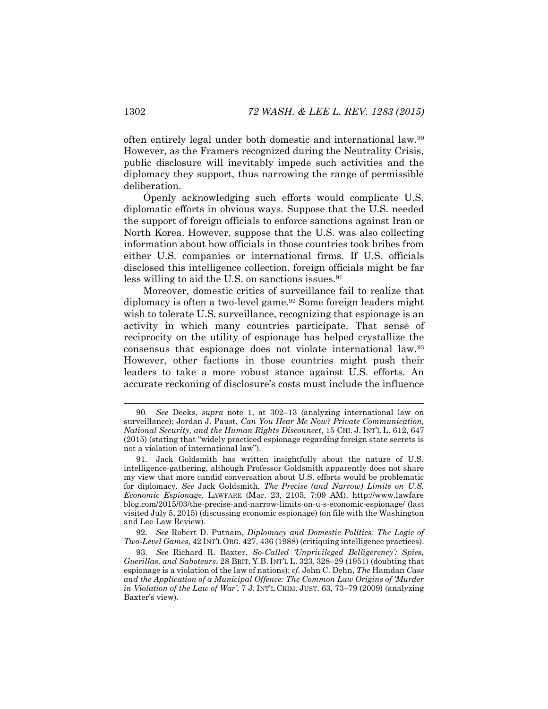often entirely legal under both domestic and international law.<sup>90</sup> However, as the Framers recognized during the Neutrality Crisis, public disclosure will inevitably impede such activities and the diplomacy they support, thus narrowing the range of permissible deliberation.

Openly acknowledging such efforts would complicate U.S. diplomatic efforts in obvious ways. Suppose that the U.S. needed the support of foreign officials to enforce sanctions against Iran or North Korea. However, suppose that the U.S. was also collecting information about how officials in those countries took bribes from either U.S. companies or international firms. If U.S. officials disclosed this intelligence collection, foreign officials might be far less willing to aid the U.S. on sanctions issues.<sup>91</sup>

Moreover, domestic critics of surveillance fail to realize that diplomacy is often a two-level game.<sup>92</sup> Some foreign leaders might wish to tolerate U.S. surveillance, recognizing that espionage is an activity in which many countries participate. That sense of reciprocity on the utility of espionage has helped crystallize the consensus that espionage does not violate international law.<sup>93</sup> However, other factions in those countries might push their leaders to take a more robust stance against U.S. efforts. An accurate reckoning of disclosure's costs must include the influence

92. *See* Robert D. Putnam, *Diplomacy and Domestic Politics: The Logic of Two-Level Games*, 42 INT'L ORG. 427, 436 (1988) (critiquing intelligence practices).

<sup>90</sup>*. See* Deeks, *supra* note [1,](#page-1-0) at 302–13 (analyzing international law on surveillance); Jordan J. Paust, *Can You Hear Me Now? Private Communication, National Security, and the Human Rights Disconnect*, 15 CHI. J. INT'L L. 612, 647 (2015) (stating that "widely practiced espionage regarding foreign state secrets is not a violation of international law").

<sup>91.</sup> Jack Goldsmith has written insightfully about the nature of U.S. intelligence-gathering, although Professor Goldsmith apparently does not share my view that more candid conversation about U.S. efforts would be problematic for diplomacy. *See* Jack Goldsmith, *The Precise (and Narrow) Limits on U.S. Economic Espionage*, LAWFARE (Mar. 23, 2105, 7:09 AM), http://www.lawfare blog.com/2015/03/the-precise-and-narrow-limits-on-u-s-economic-espionage/ (last visited July 5, 2015) (discussing economic espionage) (on file with the Washington and Lee Law Review).

<sup>93</sup>*. See* Richard R. Baxter, *So-Called 'Unprivileged Belligerency': Spies, Guerillas, and Saboteurs*, 28 BRIT. Y.B. INT'L L. 323, 328–29 (1951) (doubting that espionage is a violation of the law of nations); *cf.* John C. Dehn, *The* Hamdan *Case and the Application of a Municipal Offence: The Common Law Origins of 'Murder in Violation of the Law of War'*, 7 J. INT'L CRIM. JUST. 63, 73–79 (2009) (analyzing Baxter's view).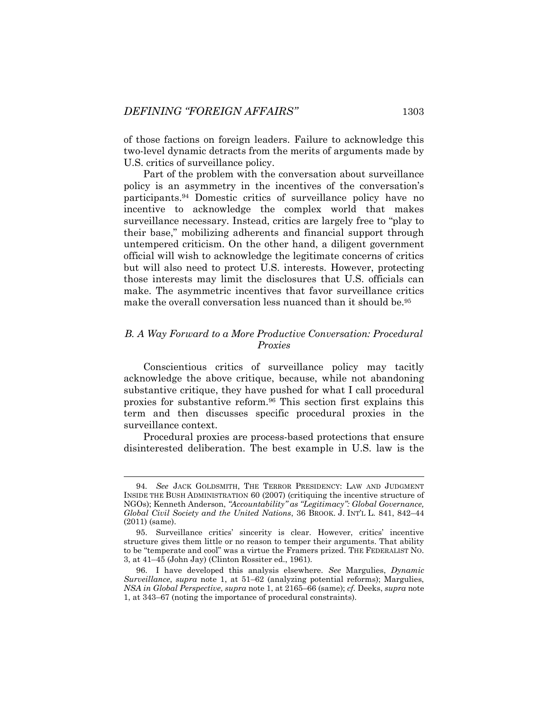of those factions on foreign leaders. Failure to acknowledge this two-level dynamic detracts from the merits of arguments made by U.S. critics of surveillance policy.

Part of the problem with the conversation about surveillance policy is an asymmetry in the incentives of the conversation's participants.<sup>94</sup> Domestic critics of surveillance policy have no incentive to acknowledge the complex world that makes surveillance necessary. Instead, critics are largely free to "play to their base," mobilizing adherents and financial support through untempered criticism. On the other hand, a diligent government official will wish to acknowledge the legitimate concerns of critics but will also need to protect U.S. interests. However, protecting those interests may limit the disclosures that U.S. officials can make. The asymmetric incentives that favor surveillance critics make the overall conversation less nuanced than it should be.<sup>95</sup>

### *B. A Way Forward to a More Productive Conversation: Procedural Proxies*

Conscientious critics of surveillance policy may tacitly acknowledge the above critique, because, while not abandoning substantive critique, they have pushed for what I call procedural proxies for substantive reform.<sup>96</sup> This section first explains this term and then discusses specific procedural proxies in the surveillance context.

Procedural proxies are process-based protections that ensure disinterested deliberation. The best example in U.S. law is the

<sup>94</sup>*. See* JACK GOLDSMITH, THE TERROR PRESIDENCY: LAW AND JUDGMENT INSIDE THE BUSH ADMINISTRATION 60 (2007) (critiquing the incentive structure of NGOs); Kenneth Anderson, *"Accountability" as "Legitimacy": Global Governance, Global Civil Society and the United Nations*, 36 BROOK. J. INT'L L. 841, 842–44 (2011) (same).

<sup>95.</sup> Surveillance critics' sincerity is clear. However, critics' incentive structure gives them little or no reason to temper their arguments. That ability to be "temperate and cool" was a virtue the Framers prized. THE FEDERALIST NO. 3, at 41–45 (John Jay) (Clinton Rossiter ed., 1961).

<sup>96.</sup> I have developed this analysis elsewhere. *See* Margulies, *Dynamic Surveillance*, *supra* note [1,](#page-1-0) at 51–62 (analyzing potential reforms); Margulies, *NSA in Global Perspective*, *supra* not[e 1,](#page-1-0) at 2165–66 (same); *cf.* Deeks, *supra* note [1,](#page-1-0) at 343–67 (noting the importance of procedural constraints).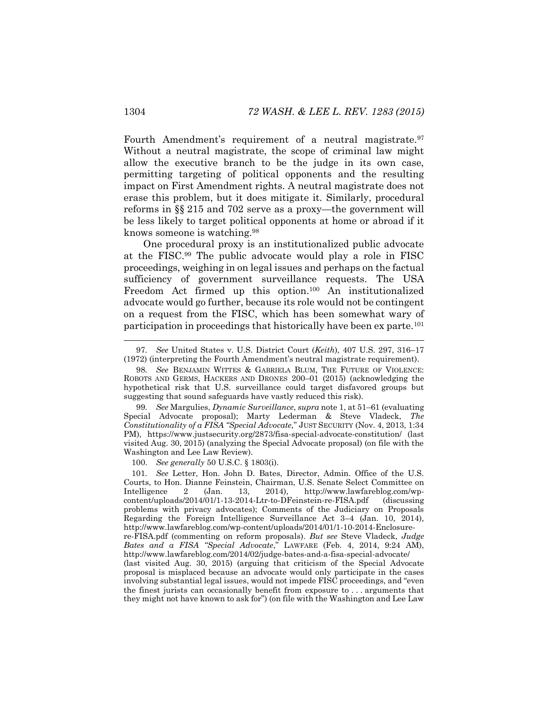Fourth Amendment's requirement of a neutral magistrate.<sup>97</sup> Without a neutral magistrate, the scope of criminal law might allow the executive branch to be the judge in its own case, permitting targeting of political opponents and the resulting impact on First Amendment rights. A neutral magistrate does not erase this problem, but it does mitigate it. Similarly, procedural reforms in §§ 215 and 702 serve as a proxy—the government will be less likely to target political opponents at home or abroad if it knows someone is watching.<sup>98</sup>

<span id="page-22-0"></span>One procedural proxy is an institutionalized public advocate at the FISC.<sup>99</sup> The public advocate would play a role in FISC proceedings, weighing in on legal issues and perhaps on the factual sufficiency of government surveillance requests. The USA Freedom Act firmed up this option.<sup>100</sup> An institutionalized advocate would go further, because its role would not be contingent on a request from the FISC, which has been somewhat wary of participation in proceedings that historically have been ex parte.<sup>101</sup>

100. *See generally* 50 U.S.C. § 1803(i).

<sup>97</sup>*. See* United States v. U.S. District Court (*Keith*), 407 U.S. 297, 316–17 (1972) (interpreting the Fourth Amendment's neutral magistrate requirement).

<sup>98</sup>*. See* BENJAMIN WITTES & GABRIELA BLUM, THE FUTURE OF VIOLENCE: ROBOTS AND GERMS, HACKERS AND DRONES 200–01 (2015) (acknowledging the hypothetical risk that U.S. surveillance could target disfavored groups but suggesting that sound safeguards have vastly reduced this risk).

<sup>99</sup>*. See* Margulies, *Dynamic Surveillance*, *supra* note [1,](#page-1-0) at 51–61 (evaluating Special Advocate proposal); Marty Lederman & Steve Vladeck, *The Constitutionality of a FISA "Special Advocate,*" JUST SECURITY (Nov. 4, 2013, 1:34 PM), https://www.justsecurity.org/2873/fisa-special-advocate-constitution/ (last visited Aug. 30, 2015) (analyzing the Special Advocate proposal) (on file with the Washington and Lee Law Review).

<sup>101</sup>*. See* Letter, Hon. John D. Bates, Director, Admin. Office of the U.S. Courts, to Hon. Dianne Feinstein, Chairman, U.S. Senate Select Committee on Intelligence 2 (Jan. 13, 2014), http://www.lawfareblog.com/wpcontent/uploads/2014/01/1-13-2014-Ltr-to-DFeinstein-re-FISA.pdf (discussing problems with privacy advocates); Comments of the Judiciary on Proposals Regarding the Foreign Intelligence Surveillance Act 3–4 (Jan. 10, 2014), http://www.lawfareblog.com/wp-content/uploads/2014/01/1-10-2014-Enclosurere-FISA.pdf (commenting on reform proposals). *But see* Steve Vladeck, *Judge Bates and a FISA "Special Advocate*," LAWFARE (Feb. 4, 2014, 9:24 AM), http://www.lawfareblog.com/2014/02/judge-bates-and-a-fisa-special-advocate/ (last visited Aug. 30, 2015) (arguing that criticism of the Special Advocate proposal is misplaced because an advocate would only participate in the cases involving substantial legal issues, would not impede FISC proceedings, and "even the finest jurists can occasionally benefit from exposure to . . . arguments that they might not have known to ask for") (on file with the Washington and Lee Law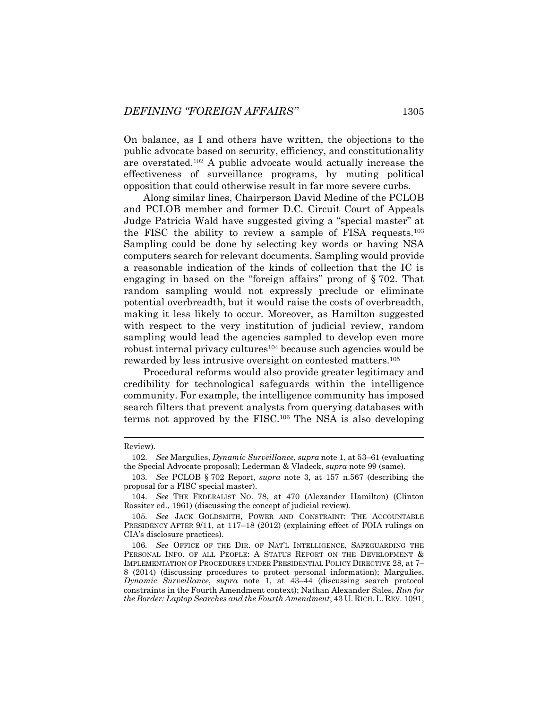On balance, as I and others have written, the objections to the public advocate based on security, efficiency, and constitutionality are overstated.<sup>102</sup> A public advocate would actually increase the effectiveness of surveillance programs, by muting political opposition that could otherwise result in far more severe curbs.

Along similar lines, Chairperson David Medine of the PCLOB and PCLOB member and former D.C. Circuit Court of Appeals Judge Patricia Wald have suggested giving a "special master" at the FISC the ability to review a sample of FISA requests.<sup>103</sup> Sampling could be done by selecting key words or having NSA computers search for relevant documents. Sampling would provide a reasonable indication of the kinds of collection that the IC is engaging in based on the "foreign affairs" prong of § 702. That random sampling would not expressly preclude or eliminate potential overbreadth, but it would raise the costs of overbreadth, making it less likely to occur. Moreover, as Hamilton suggested with respect to the very institution of judicial review, random sampling would lead the agencies sampled to develop even more robust internal privacy cultures<sup>104</sup> because such agencies would be rewarded by less intrusive oversight on contested matters.<sup>105</sup>

Procedural reforms would also provide greater legitimacy and credibility for technological safeguards within the intelligence community. For example, the intelligence community has imposed search filters that prevent analysts from querying databases with terms not approved by the FISC.<sup>106</sup> The NSA is also developing

Review).

<sup>102</sup>*. See* Margulies, *Dynamic Surveillance*, *supra* note [1,](#page-1-0) at 53–61 (evaluating the Special Advocate proposal); Lederman & Vladeck, *supra* not[e 99](#page-22-0) (same).

<sup>103</sup>*. See* PCLOB § 702 Report, *supra* note [3,](#page-2-2) at 157 n.567 (describing the proposal for a FISC special master).

<sup>104</sup>*. See* THE FEDERALIST NO. 78, at 470 (Alexander Hamilton) (Clinton Rossiter ed., 1961) (discussing the concept of judicial review).

<sup>105</sup>*. See* JACK GOLDSMITH, POWER AND CONSTRAINT: THE ACCOUNTABLE PRESIDENCY AFTER 9/11, at 117–18 (2012) (explaining effect of FOIA rulings on CIA's disclosure practices).

<sup>106</sup>*. See* OFFICE OF THE DIR. OF NAT'L INTELLIGENCE, SAFEGUARDING THE PERSONAL INFO. OF ALL PEOPLE: A STATUS REPORT ON THE DEVELOPMENT & IMPLEMENTATION OF PROCEDURES UNDER PRESIDENTIAL POLICY DIRECTIVE 28, at 7– 8 (2014) (discussing procedures to protect personal information); Margulies, *Dynamic Surveillance*, *supra* note [1,](#page-1-0) at 43–44 (discussing search protocol constraints in the Fourth Amendment context); Nathan Alexander Sales, *Run for the Border: Laptop Searches and the Fourth Amendment*, 43 U. RICH.L. REV. 1091,